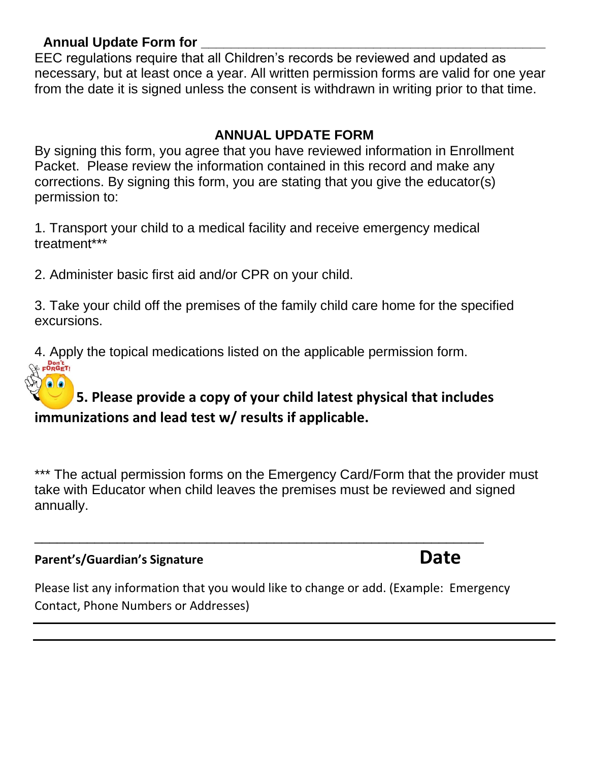#### **Annual Update Form for \_\_\_\_\_\_\_\_\_\_\_\_\_\_\_\_\_\_\_\_\_\_\_\_\_\_\_\_\_\_\_\_\_\_\_\_\_\_\_\_\_\_\_\_\_\_**

EEC regulations require that all Children's records be reviewed and updated as necessary, but at least once a year. All written permission forms are valid for one year from the date it is signed unless the consent is withdrawn in writing prior to that time.

### **ANNUAL UPDATE FORM**

By signing this form, you agree that you have reviewed information in Enrollment Packet. Please review the information contained in this record and make any corrections. By signing this form, you are stating that you give the educator(s) permission to:

1. Transport your child to a medical facility and receive emergency medical treatment\*\*\*

2. Administer basic first aid and/or CPR on your child.

3. Take your child off the premises of the family child care home for the specified excursions.

4. Apply the topical medications listed on the applicable permission form. Pon't<br>⊁ F<sup>O</sup>RGET!

# **5. Please provide a copy of your child latest physical that includes immunizations and lead test w/ results if applicable.**

\*\*\* The actual permission forms on the Emergency Card/Form that the provider must take with Educator when child leaves the premises must be reviewed and signed annually.

## **Parent's/Guardian's Signature** *b* **and** *Date* **<b>Date**

Please list any information that you would like to change or add. (Example: Emergency Contact, Phone Numbers or Addresses)

\_\_\_\_\_\_\_\_\_\_\_\_\_\_\_\_\_\_\_\_\_\_\_\_\_\_\_\_\_\_\_\_\_\_\_\_\_\_\_\_\_\_\_\_\_\_\_\_\_\_\_\_\_\_\_\_\_\_\_\_